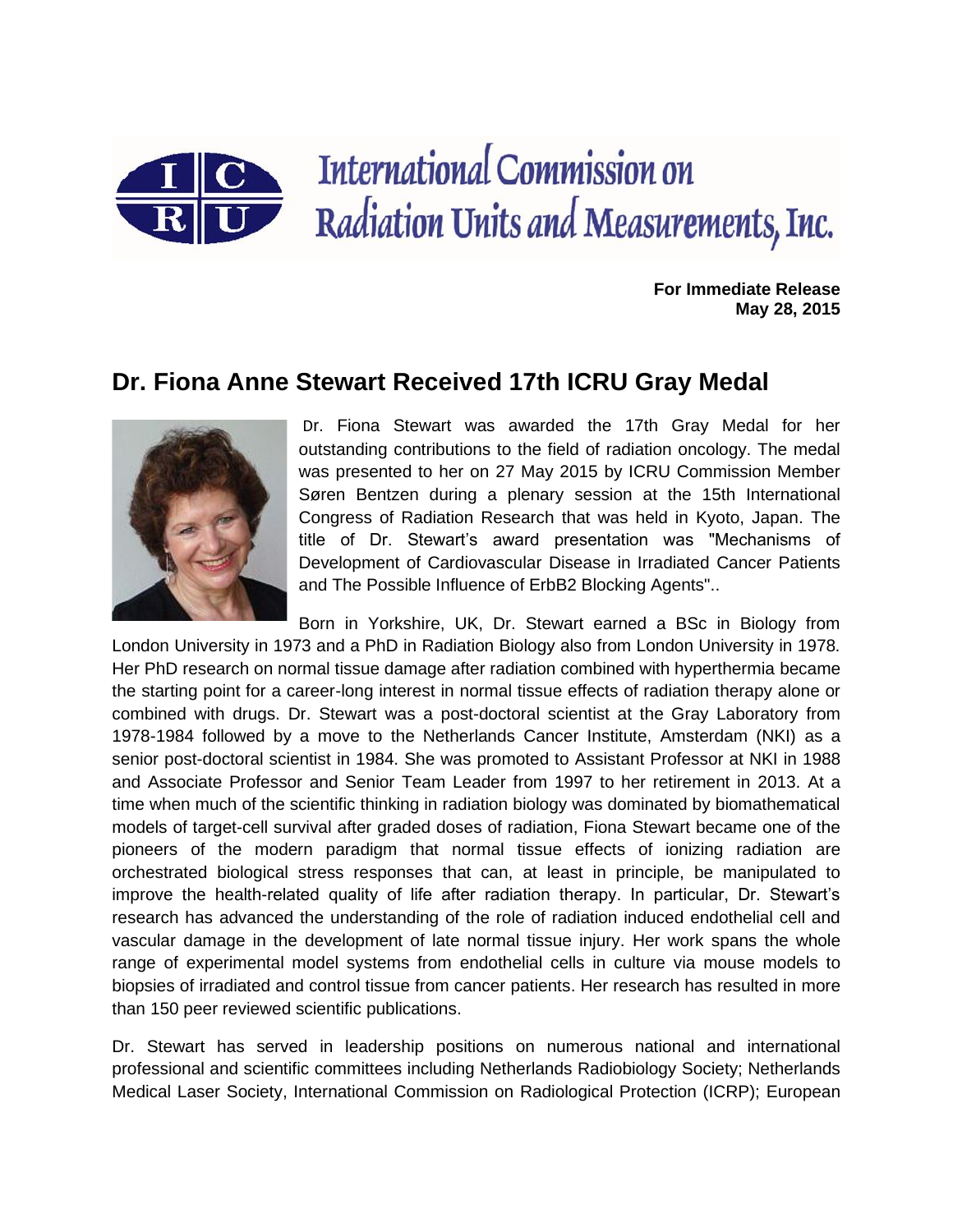

**For Immediate Release May 28, 2015**

## **Dr. Fiona Anne Stewart Received 17th ICRU Gray Medal**



Dr. Fiona Stewart was awarded the 17th Gray Medal for her outstanding contributions to the field of radiation oncology. The medal was presented to her on 27 May 2015 by ICRU Commission Member Søren Bentzen during a plenary session at the 15th International Congress of Radiation Research that was held in Kyoto, Japan. The title of Dr. Stewart's award presentation was "Mechanisms of Development of Cardiovascular Disease in Irradiated Cancer Patients and The Possible Influence of ErbB2 Blocking Agents"..

Born in Yorkshire, UK, Dr. Stewart earned a BSc in Biology from London University in 1973 and a PhD in Radiation Biology also from London University in 1978. Her PhD research on normal tissue damage after radiation combined with hyperthermia became the starting point for a career-long interest in normal tissue effects of radiation therapy alone or combined with drugs. Dr. Stewart was a post-doctoral scientist at the Gray Laboratory from 1978-1984 followed by a move to the Netherlands Cancer Institute, Amsterdam (NKI) as a senior post-doctoral scientist in 1984. She was promoted to Assistant Professor at NKI in 1988 and Associate Professor and Senior Team Leader from 1997 to her retirement in 2013. At a time when much of the scientific thinking in radiation biology was dominated by biomathematical models of target-cell survival after graded doses of radiation, Fiona Stewart became one of the pioneers of the modern paradigm that normal tissue effects of ionizing radiation are orchestrated biological stress responses that can, at least in principle, be manipulated to improve the health-related quality of life after radiation therapy. In particular, Dr. Stewart's research has advanced the understanding of the role of radiation induced endothelial cell and vascular damage in the development of late normal tissue injury. Her work spans the whole range of experimental model systems from endothelial cells in culture via mouse models to biopsies of irradiated and control tissue from cancer patients. Her research has resulted in more than 150 peer reviewed scientific publications.

Dr. Stewart has served in leadership positions on numerous national and international professional and scientific committees including Netherlands Radiobiology Society; Netherlands Medical Laser Society, International Commission on Radiological Protection (ICRP); European